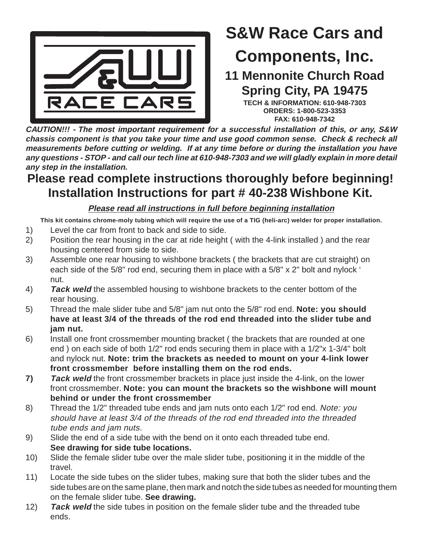

# **S&W Race Cars and**

## **Components, Inc.**

**11 Mennonite Church Road Spring City, PA 19475**

**TECH & INFORMATION: 610-948-7303 ORDERS: 1-800-523-3353 FAX: 610-948-7342**

**CAUTION!!! - The most important requirement for a successful installation of this, or any, S&W chassis component is that you take your time and use good common sense. Check & recheck all measurements before cutting or welding. If at any time before or during the installation you have any questions - STOP - and call our tech line at 610-948-7303 and we will gladly explain in more detail any step in the installation.**

## **Please read complete instructions thoroughly before beginning! Installation Instructions for part # 40-238 Wishbone Kit.**

**Please read all instructions in full before beginning installation**

**This kit contains chrome-moly tubing which will require the use of a TIG (heli-arc) welder for proper installation.**

- 1) Level the car from front to back and side to side.
- 2) Position the rear housing in the car at ride height ( with the 4-link installed ) and the rear housing centered from side to side.
- 3) Assemble one rear housing to wishbone brackets ( the brackets that are cut straight) on each side of the 5/8" rod end, securing them in place with a 5/8" x 2" bolt and nylock ' nut.
- 4) **Tack weld** the assembled housing to wishbone brackets to the center bottom of the rear housing.
- 5) Thread the male slider tube and 5/8" jam nut onto the 5/8" rod end. **Note: you should have at least 3/4 of the threads of the rod end threaded into the slider tube and jam nut.**
- 6) Install one front crossmember mounting bracket ( the brackets that are rounded at one end ) on each side of both 1/2" rod ends securing them in place with a 1/2"x 1-3/4" bolt and nylock nut. **Note: trim the brackets as needed to mount on your 4-link lower front crossmember before installing them on the rod ends.**
- **7) Tack weld** the front crossmember brackets in place just inside the 4-link, on the lower front crossmember. **Note: you can mount the brackets so the wishbone will mount behind or under the front crossmember**
- 8) Thread the 1/2" threaded tube ends and jam nuts onto each 1/2" rod end. Note: you should have at least 3/4 of the threads of the rod end threaded into the threaded tube ends and jam nuts.
- 9) Slide the end of a side tube with the bend on it onto each threaded tube end. **See drawing for side tube locations.**
- 10) Slide the female slider tube over the male slider tube, positioning it in the middle of the travel.
- 11) Locate the side tubes on the slider tubes, making sure that both the slider tubes and the side tubes are on the same plane, then mark and notch the side tubes as needed for mounting them on the female slider tube. **See drawing.**
- 12) **Tack weld** the side tubes in position on the female slider tube and the threaded tube ends.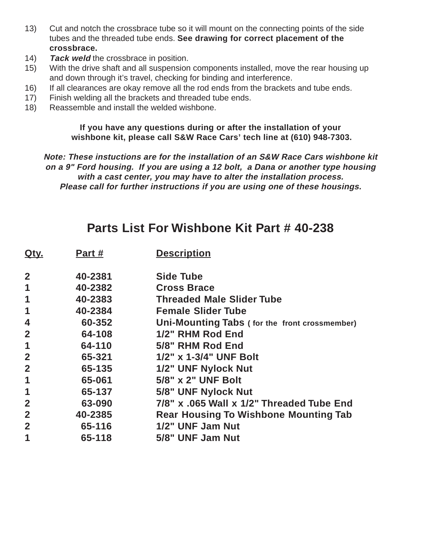- 13) Cut and notch the crossbrace tube so it will mount on the connecting points of the side tubes and the threaded tube ends. **See drawing for correct placement of the crossbrace.**
- 14) **Tack weld** the crossbrace in position.
- 15) With the drive shaft and all suspension components installed, move the rear housing up and down through it's travel, checking for binding and interference.
- 16) If all clearances are okay remove all the rod ends from the brackets and tube ends.
- 17) Finish welding all the brackets and threaded tube ends.
- 18) Reassemble and install the welded wishbone.

#### **If you have any questions during or after the installation of your wishbone kit, please call S&W Race Cars' tech line at (610) 948-7303.**

**Note: These instuctions are for the installation of an S&W Race Cars wishbone kit on a 9" Ford housing. If you are using a 12 bolt, a Dana or another type housing with a cast center, you may have to alter the installation process. Please call for further instructions if you are using one of these housings.**

### **Parts List For Wishbone Kit Part # 40-238**

| Qty.           | Part #  | <b>Description</b>                            |
|----------------|---------|-----------------------------------------------|
| $\overline{2}$ | 40-2381 | <b>Side Tube</b>                              |
| 1              | 40-2382 | <b>Cross Brace</b>                            |
| 1              | 40-2383 | <b>Threaded Male Slider Tube</b>              |
| 1              | 40-2384 | <b>Female Slider Tube</b>                     |
| 4              | 60-352  | Uni-Mounting Tabs (for the front crossmember) |
| $\mathbf{2}$   | 64-108  | 1/2" RHM Rod End                              |
| 1              | 64-110  | 5/8" RHM Rod End                              |
| $\overline{2}$ | 65-321  | 1/2" x 1-3/4" UNF Bolt                        |
| $\overline{2}$ | 65-135  | 1/2" UNF Nylock Nut                           |
| 1              | 65-061  | 5/8" x 2" UNF Bolt                            |
| 1              | 65-137  | 5/8" UNF Nylock Nut                           |
| $\overline{2}$ | 63-090  | 7/8" x .065 Wall x 1/2" Threaded Tube End     |
| $\overline{2}$ | 40-2385 | <b>Rear Housing To Wishbone Mounting Tab</b>  |
| $\overline{2}$ | 65-116  | 1/2" UNF Jam Nut                              |
| 1              | 65-118  | 5/8" UNF Jam Nut                              |